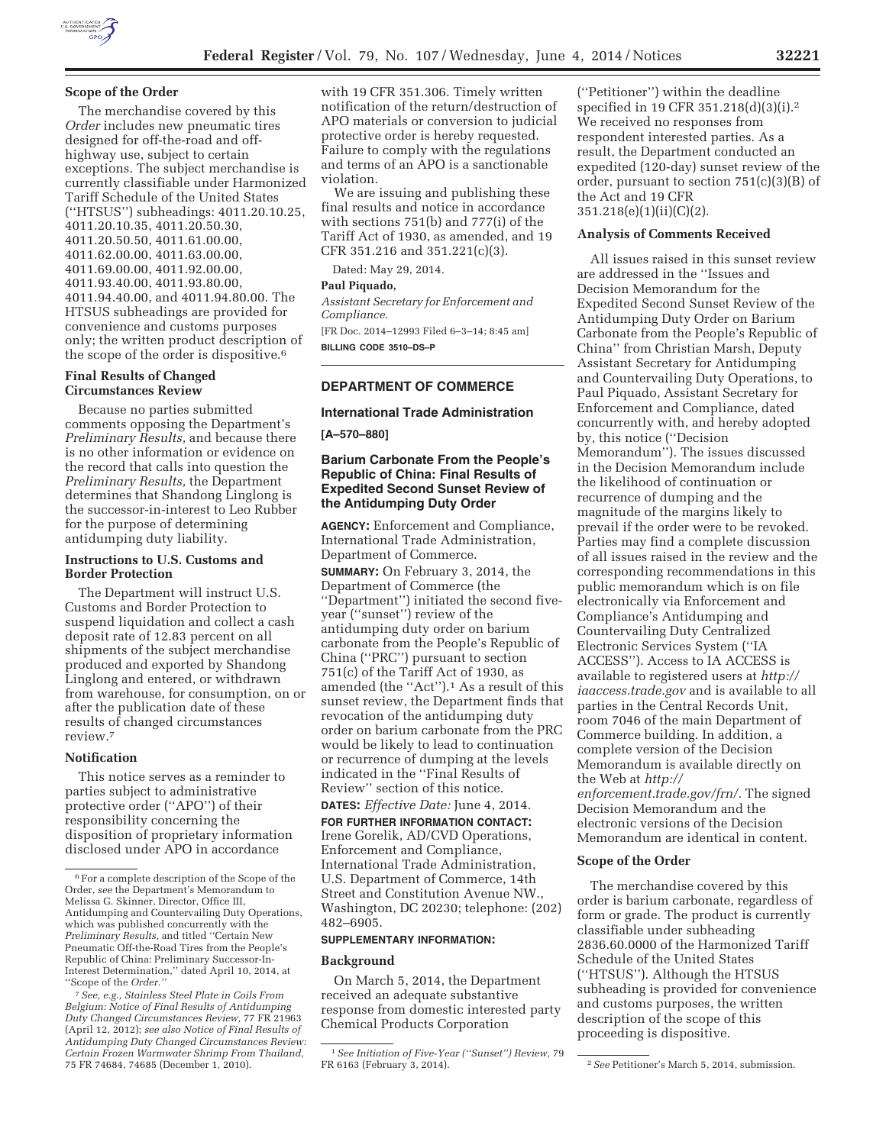# **Scope of the Order**

The merchandise covered by this *Order* includes new pneumatic tires designed for off-the-road and offhighway use, subject to certain exceptions. The subject merchandise is currently classifiable under Harmonized Tariff Schedule of the United States (''HTSUS'') subheadings: 4011.20.10.25, 4011.20.10.35, 4011.20.50.30, 4011.20.50.50, 4011.61.00.00, 4011.62.00.00, 4011.63.00.00, 4011.69.00.00, 4011.92.00.00, 4011.93.40.00, 4011.93.80.00, 4011.94.40.00, and 4011.94.80.00. The HTSUS subheadings are provided for convenience and customs purposes only; the written product description of the scope of the order is dispositive.6

#### **Final Results of Changed Circumstances Review**

Because no parties submitted comments opposing the Department's *Preliminary Results,* and because there is no other information or evidence on the record that calls into question the *Preliminary Results,* the Department determines that Shandong Linglong is the successor-in-interest to Leo Rubber for the purpose of determining antidumping duty liability.

# **Instructions to U.S. Customs and Border Protection**

The Department will instruct U.S. Customs and Border Protection to suspend liquidation and collect a cash deposit rate of 12.83 percent on all shipments of the subject merchandise produced and exported by Shandong Linglong and entered, or withdrawn from warehouse, for consumption, on or after the publication date of these results of changed circumstances review.7

#### **Notification**

This notice serves as a reminder to parties subject to administrative protective order (''APO'') of their responsibility concerning the disposition of proprietary information disclosed under APO in accordance

with 19 CFR 351.306. Timely written notification of the return/destruction of APO materials or conversion to judicial protective order is hereby requested. Failure to comply with the regulations and terms of an APO is a sanctionable violation.

We are issuing and publishing these final results and notice in accordance with sections 751(b) and 777(i) of the Tariff Act of 1930, as amended, and 19 CFR 351.216 and 351.221(c)(3).

Dated: May 29, 2014.

# **Paul Piquado,**

*Assistant Secretary for Enforcement and Compliance.* 

[FR Doc. 2014–12993 Filed 6–3–14; 8:45 am] **BILLING CODE 3510–DS–P** 

# **DEPARTMENT OF COMMERCE**

# **International Trade Administration**

**[A–570–880]** 

# **Barium Carbonate From the People's Republic of China: Final Results of Expedited Second Sunset Review of the Antidumping Duty Order**

**AGENCY:** Enforcement and Compliance, International Trade Administration, Department of Commerce. **SUMMARY:** On February 3, 2014, the Department of Commerce (the ''Department'') initiated the second fiveyear (''sunset'') review of the antidumping duty order on barium carbonate from the People's Republic of China (''PRC'') pursuant to section  $751(c)$  of the Tariff Act of 1930, as amended (the ''Act'').1 As a result of this sunset review, the Department finds that revocation of the antidumping duty order on barium carbonate from the PRC would be likely to lead to continuation or recurrence of dumping at the levels indicated in the ''Final Results of Review'' section of this notice.

**DATES:** *Effective Date:* June 4, 2014.

**FOR FURTHER INFORMATION CONTACT:**  Irene Gorelik, AD/CVD Operations, Enforcement and Compliance, International Trade Administration, U.S. Department of Commerce, 14th Street and Constitution Avenue NW., Washington, DC 20230; telephone: (202) 482–6905.

#### **SUPPLEMENTARY INFORMATION:**

#### **Background**

On March 5, 2014, the Department received an adequate substantive response from domestic interested party Chemical Products Corporation

(''Petitioner'') within the deadline specified in 19 CFR 351.218(d)(3)(i).2 We received no responses from respondent interested parties. As a result, the Department conducted an expedited (120-day) sunset review of the order, pursuant to section 751(c)(3)(B) of the Act and 19 CFR 351.218(e)(1)(ii)(C)(2).

#### **Analysis of Comments Received**

All issues raised in this sunset review are addressed in the ''Issues and Decision Memorandum for the Expedited Second Sunset Review of the Antidumping Duty Order on Barium Carbonate from the People's Republic of China'' from Christian Marsh, Deputy Assistant Secretary for Antidumping and Countervailing Duty Operations, to Paul Piquado, Assistant Secretary for Enforcement and Compliance, dated concurrently with, and hereby adopted by, this notice (''Decision Memorandum''). The issues discussed in the Decision Memorandum include the likelihood of continuation or recurrence of dumping and the magnitude of the margins likely to prevail if the order were to be revoked. Parties may find a complete discussion of all issues raised in the review and the corresponding recommendations in this public memorandum which is on file electronically via Enforcement and Compliance's Antidumping and Countervailing Duty Centralized Electronic Services System (''IA ACCESS''). Access to IA ACCESS is available to registered users at *http:// iaaccess.trade.gov* and is available to all parties in the Central Records Unit, room 7046 of the main Department of Commerce building. In addition, a complete version of the Decision Memorandum is available directly on the Web at *http:// enforcement.trade.gov/frn/.* The signed Decision Memorandum and the electronic versions of the Decision Memorandum are identical in content.

#### **Scope of the Order**

The merchandise covered by this order is barium carbonate, regardless of form or grade. The product is currently classifiable under subheading 2836.60.0000 of the Harmonized Tariff Schedule of the United States (''HTSUS''). Although the HTSUS subheading is provided for convenience and customs purposes, the written description of the scope of this proceeding is dispositive.

<sup>6</sup>For a complete description of the Scope of the Order, *see* the Department's Memorandum to Melissa G. Skinner, Director, Office III, Antidumping and Countervailing Duty Operations, which was published concurrently with the *Preliminary Results,* and titled ''Certain New Pneumatic Off-the-Road Tires from the People's Republic of China: Preliminary Successor-In-Interest Determination,'' dated April 10, 2014, at ''Scope of the *Order.''* 

<sup>7</sup>*See, e.g., Stainless Steel Plate in Coils From Belgium: Notice of Final Results of Antidumping Duty Changed Circumstances Review,* 77 FR 21963 (April 12, 2012); *see also Notice of Final Results of Antidumping Duty Changed Circumstances Review: Certain Frozen Warmwater Shrimp From Thailand,*  75 FR 74684, 74685 (December 1, 2010).

<sup>1</sup>*See Initiation of Five-Year (''Sunset'') Review,* 79

<sup>&</sup>lt;sup>2</sup> See Petitioner's March 5, 2014, submission.